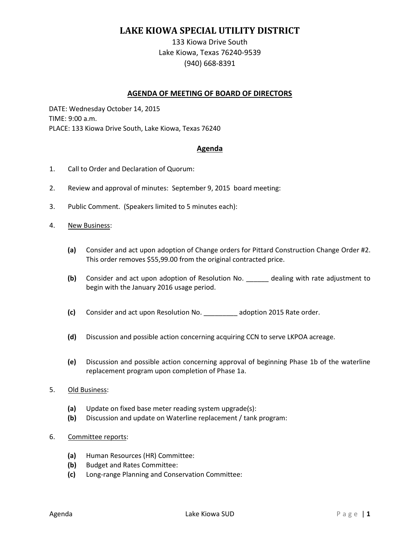# **LAKE KIOWA SPECIAL UTILITY DISTRICT**

133 Kiowa Drive South Lake Kiowa, Texas 76240-9539 (940) 668-8391

## **AGENDA OF MEETING OF BOARD OF DIRECTORS**

DATE: Wednesday October 14, 2015 TIME: 9:00 a.m. PLACE: 133 Kiowa Drive South, Lake Kiowa, Texas 76240

## **Agenda**

- 1. Call to Order and Declaration of Quorum:
- 2. Review and approval of minutes: September 9, 2015 board meeting:
- 3. Public Comment. (Speakers limited to 5 minutes each):
- 4. New Business:
	- **(a)** Consider and act upon adoption of Change orders for Pittard Construction Change Order #2. This order removes \$55,99.00 from the original contracted price.
	- **(b)** Consider and act upon adoption of Resolution No. \_\_\_\_\_\_ dealing with rate adjustment to begin with the January 2016 usage period.
	- **(c)** Consider and act upon Resolution No. \_\_\_\_\_\_\_\_\_ adoption 2015 Rate order.
	- **(d)** Discussion and possible action concerning acquiring CCN to serve LKPOA acreage.
	- **(e)** Discussion and possible action concerning approval of beginning Phase 1b of the waterline replacement program upon completion of Phase 1a.

#### 5. Old Business:

- **(a)** Update on fixed base meter reading system upgrade(s):
- **(b)** Discussion and update on Waterline replacement / tank program:

#### 6. Committee reports:

- **(a)** Human Resources (HR) Committee:
- **(b)** Budget and Rates Committee:
- **(c)** Long-range Planning and Conservation Committee: